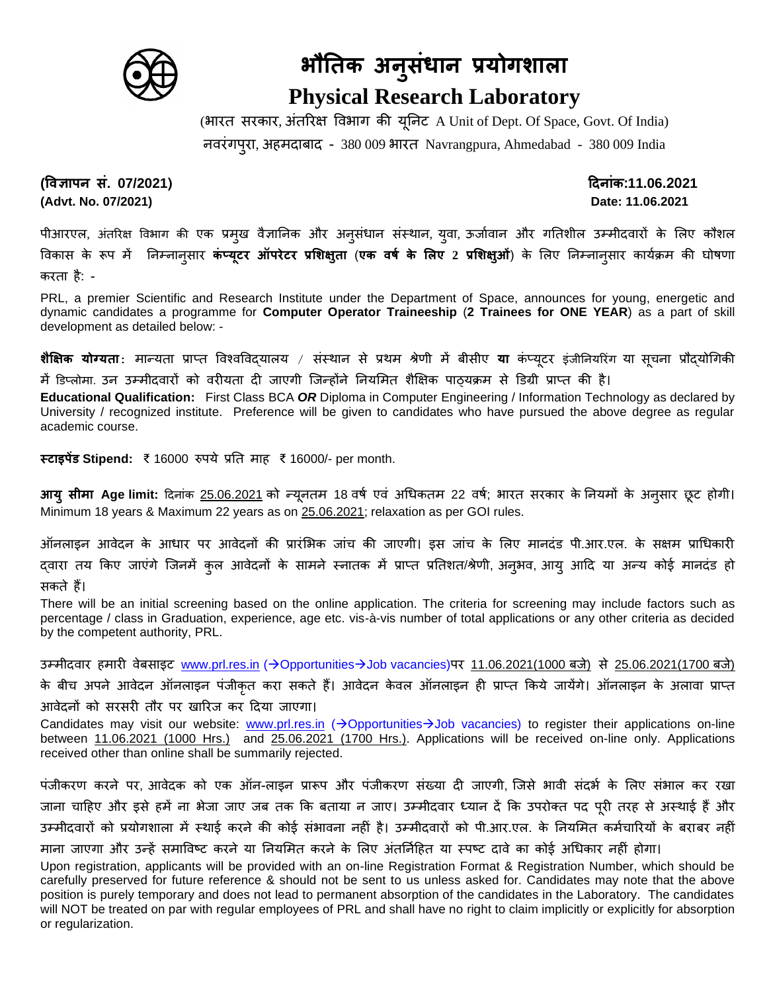

## **भौतिक अन ुसंधान प्रयोगशाला Physical Research Laboratory**

(भारत सरकार, अंतररक्ष विभाग की यूनिट A Unit of Dept. Of Space, Govt. Of India) ििरंगपुरा, अहमदाबाद - 380 009 भारत Navrangpura, Ahmedabad - 380 009 India

**(विज्ञापन सं. 07/2021) दिनांक:11.06.2021 (Advt. No. 07/2021) Date: 11.06.2021**

पीआरएल, अंतरिक्ष विभाग की एक प्रमुख वैज्ञानिक और अनूसंधान संस्थान, युवा, ऊर्जावान और गतिशील उम्मीदवारों के लिए कौशल विकास के रूप में निम्िािुसार **कंप्यूटर ऑपरेटर प्रशशक्षुिा** (**एक िर्ष के शलए 2 प्रशशक्षुओं**) के ललए निम्िािुसार कायाक्रम की घोषणा करता है: -

PRL, a premier Scientific and Research Institute under the Department of Space, announces for young, energetic and dynamic candidates a programme for **Computer Operator Traineeship** (**2 Trainees for ONE YEAR**) as a part of skill development as detailed below: -

**शैक्षिक योग्यता** $:$  मान्यता प्राप्त विश्वविदयालय / संस्थान से प्रथम श्रेणी में बीसीए **या** कंप्यूटर इंजीनियरिंग या सूचना प्रौदयोगिकी

में डिप्लोमा. उन उम्मीदवारों को वरीयता दी जाएगी जिन्होंने नियमित शैक्षिक पाठ्यक्रम से डिग्री प्राप्त की है।

**Educational Qualification:** First Class BCA *OR* Diploma in Computer Engineering / Information Technology as declared by University / recognized institute. Preference will be given to candidates who have pursued the above degree as regular academic course.

**स्टाइपेंड Stipend:** ₹ 16000 रुपये प्रनत माह ₹ 16000/- per month.

**आयु सीमा Age limit:** दिनांक <u>25.06.2021</u> को न्यूनतम 18 वर्ष एवं अधिकतम 22 वर्ष; भारत सरकार के नियमों के अनुसार छूट होगी। Minimum 18 years & Maximum 22 years as on 25.06.2021; relaxation as per GOI rules.

ऑनलाइन आवेदन के आधार पर आवेदनों की प्रारंभिक जांच की जाएगी। इस जांच के लिए मानदंड पी.आर.एल. के सक्षम प्राधिकारी दवारा तय किए जाएंगे जिनमें कुल आवेदनों के सामने स्नातक में प्राप्त प्रतिशत/श्रेणी, अनुभव, आयु आदि या अन्य कोई मानदंड हो सकते हैं।

There will be an initial screening based on the online application. The criteria for screening may include factors such as percentage / class in Graduation, experience, age etc. vis-à-vis number of total applications or any other criteria as decided by the competent authority, PRL.

उम्मीदवार हमारी वेबसाइट [www.prl.res.in](http://www.prl.res.in/) (→Opportunities→Job vacancies)पर 11.06.2021(1000 बजे) से 25.06.2021(1700 बजे) के बीच अपने आवेदन ऑनलाइन पंजीकृत करा सकते हैं। आवेदन केवल ऑनलाइन ही प्राप्त किये जायेंगे। ऑनलाइन के अलावा प्राप्त आवेदनों को सरसरी तौर पर खारिज कर दिया जाएगा।

Candidates may visit our website: [www.prl.res.in](http://www.prl.res.in/) (→Opportunities→Job vacancies) to register their applications on-line between 11.06.2021 (1000 Hrs.) and 25.06.2021 (1700 Hrs.). Applications will be received on-line only. Applications received other than online shall be summarily rejected.

पंजीकरण करने पर, आवेदक को एक ऑन-लाइन प्रारूप और पंजीकरण संख्या दी जाएगी, जिसे भावी संदर्भ के लिए संभाल कर रखा जाना चाहिए और इसे हमें ना भेजा जाए जब तक कि बताया न जाए। उम्मीदवार ध्यान दें कि उपरोक्त पद पूरी तरह से अस्थाई हैं और उम्मीदवारों को प्रयोगशाला में स्थाई करने की कोई संभावना नहीं है। उम्मीदवारों को पी.आर.एल. के नियमित कर्मचारियों के बराबर नहीं माना जाएगा और उन्हें समाविष्ट करने या नियमित करने के लिए अंतर्निहित या स्पष्ट दावे का कोई अधिकार नहीं होगा।

Upon registration, applicants will be provided with an on-line Registration Format & Registration Number, which should be carefully preserved for future reference & should not be sent to us unless asked for. Candidates may note that the above position is purely temporary and does not lead to permanent absorption of the candidates in the Laboratory. The candidates will NOT be treated on par with regular employees of PRL and shall have no right to claim implicitly or explicitly for absorption or regularization.